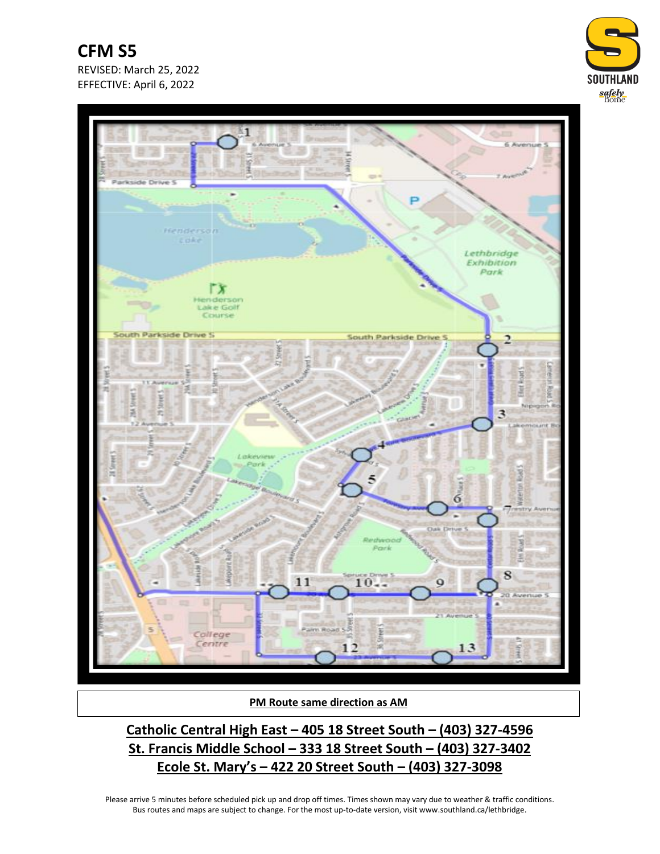**CFM S5** REVISED: March 25, 2022 EFFECTIVE: April 6, 2022





**PM Route same direction as AM**

**Catholic Central High East – 405 18 Street South – (403) 327-4596 St. Francis Middle School – 333 18 Street South – (403) 327-3402 Ecole St. Mary's – 422 20 Street South – (403) 327-3098**

Please arrive 5 minutes before scheduled pick up and drop off times. Times shown may vary due to weather & traffic conditions. Bus routes and maps are subject to change. For the most up-to-date version, visit www.southland.ca/lethbridge.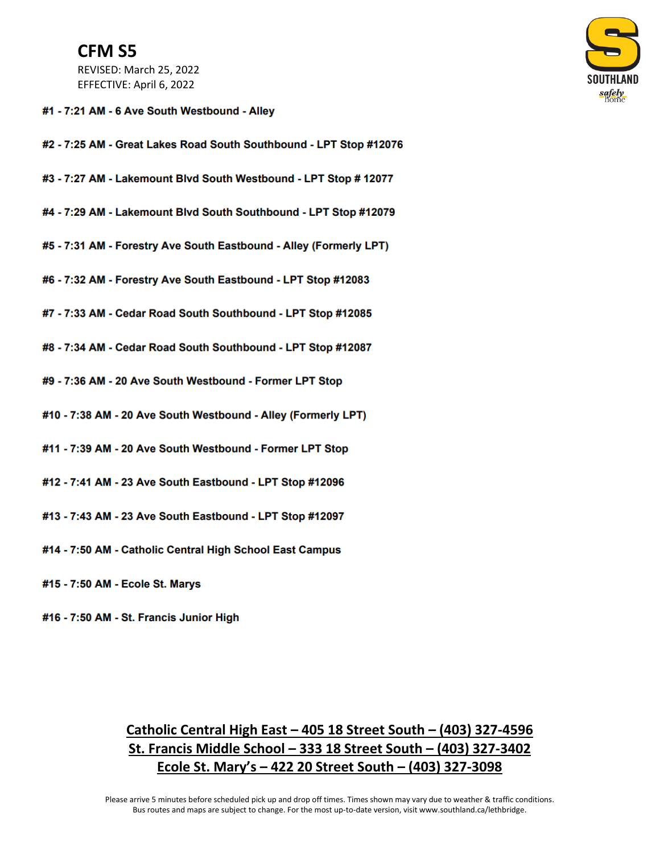## **CFM S5**

REVISED: March 25, 2022 EFFECTIVE: April 6, 2022

## #1 - 7:21 AM - 6 Ave South Westbound - Alley

- #2 7:25 AM Great Lakes Road South Southbound LPT Stop #12076
- #3 7:27 AM Lakemount Blvd South Westbound LPT Stop # 12077
- #4 7:29 AM Lakemount Blvd South Southbound LPT Stop #12079
- #5 7:31 AM Forestry Ave South Eastbound Alley (Formerly LPT)
- #6 7:32 AM Forestry Ave South Eastbound LPT Stop #12083
- #7 7:33 AM Cedar Road South Southbound LPT Stop #12085
- #8 7:34 AM Cedar Road South Southbound LPT Stop #12087
- #9 7:36 AM 20 Ave South Westbound Former LPT Stop
- #10 7:38 AM 20 Ave South Westbound Alley (Formerly LPT)
- #11 7:39 AM 20 Ave South Westbound Former LPT Stop
- #12 7:41 AM 23 Ave South Eastbound LPT Stop #12096
- #13 7:43 AM 23 Ave South Eastbound LPT Stop #12097
- #14 7:50 AM Catholic Central High School East Campus
- #15 7:50 AM Ecole St. Marys
- #16 7:50 AM St. Francis Junior High

## Catholic Central High East - 405 18 Street South - (403) 327-4596 St. Francis Middle School - 333 18 Street South - (403) 327-3402 Ecole St. Mary's  $-$  422 20 Street South  $-$  (403) 327-3098

Please arrive 5 minutes before scheduled pick up and drop off times. Times shown may vary due to weather & traffic conditions. Bus routes and maps are subject to change. For the most up-to-date version, visit www.southland.ca/lethbridge.